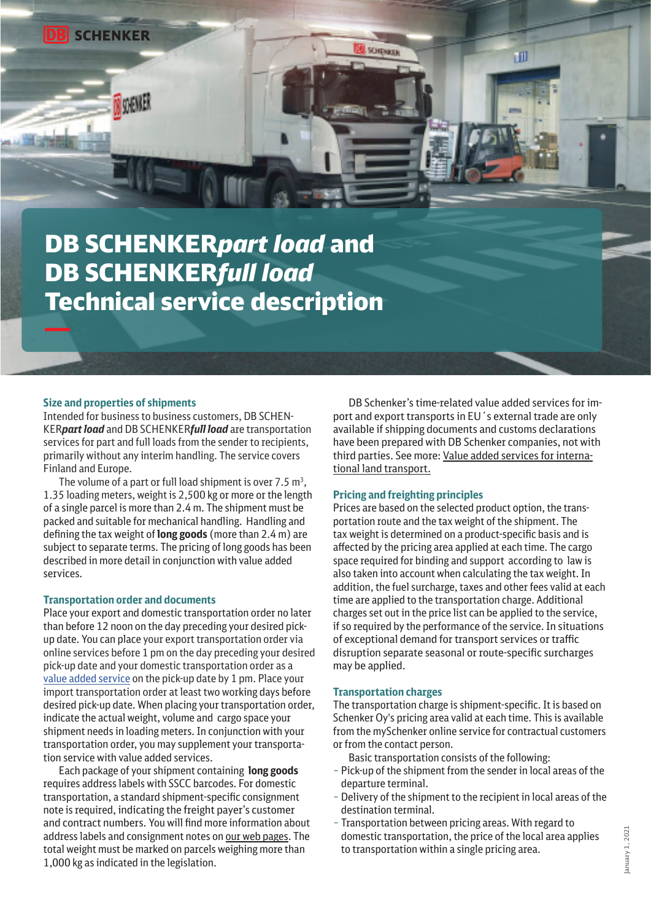**MOUNT** 

# DB SCHENKER*part load* and DB SCHENKER*full load* Technical service description

#### **Size and properties of shipments**

Intended for business to business customers, DB SCHEN-KER*part load* and DB SCHENKER*full load* are transportation services for part and full loads from the sender to recipients, primarily without any interim handling. The service covers Finland and Europe.

The volume of a part or full load shipment is over  $7.5 \text{ m}^3$ , 1.35 loading meters, weight is 2,500 kg or more or the length of a single parcel is more than 2.4 m. The shipment must be packed and suitable for mechanical handling. Handling and defining the tax weight of **long goods** (more than 2.4 m) are subject to separate terms. The pricing of long goods has been described in more detail in conjunction with value added services.

#### **Transportation order and documents**

Place your export and domestic transportation order no later than before 12 noon on the day preceding your desired pickup date. You can place your export transportation order via online services before 1 pm on the day preceding your desired pick-up date and your domestic transportation order as a [value added service](https://www.dbschenker.com/fi-en/products/operational-instructions/product-documentation) on the pick-up date by 1 pm. Place your import transportation order at least two working days before desired pick-up date. When placing your transportation order, indicate the actual weight, volume and cargo space your shipment needs in loading meters. In conjunction with your transportation order, you may supplement your transportation service with value added services.

Each package of your shipment containing **long goods** requires address labels with SSCC barcodes. For domestic transportation, a standard shipment-specific consignment note is required, indicating the freight payer's customer and contract numbers. You will find more information about address labels and consignment notes on [our web pages.](https://www.dbschenker.com/fi-en/products/operational-instructions/instructions) The total weight must be marked on parcels weighing more than 1,000 kg as indicated in the legislation.

DB Schenker's time-related value added services for import and export transports in EU´s external trade are only available if shipping documents and customs declarations have been prepared with DB Schenker companies, not with third parties. See more: [Value added services for interna](https://www.dbschenker.com/resource/blob/593330/61df83091142aad9aab717d2f9eb82cb/value-added-services-for-internatonal-transports-data.pdf)[tional land transport.](https://www.dbschenker.com/resource/blob/593330/61df83091142aad9aab717d2f9eb82cb/value-added-services-for-internatonal-transports-data.pdf)

HII

#### **Pricing and freighting principles**

**SCHENKER** 

Prices are based on the selected product option, the transportation route and the tax weight of the shipment. The tax weight is determined on a product-specific basis and is affected by the pricing area applied at each time. The cargo space required for binding and support according to law is also taken into account when calculating the tax weight. In addition, the fuel surcharge, taxes and other fees valid at each time are applied to the transportation charge. Additional charges set out in the price list can be applied to the service, if so required by the performance of the service. In situations of exceptional demand for transport services or traffic disruption separate seasonal or route-specific surcharges may be applied.

#### **Transportation charges**

The transportation charge is shipment-specific. It is based on Schenker Oy's pricing area valid at each time. This is available from the mySchenker online service for contractual customers or from the contact person.

Basic transportation consists of the following:

- Pick-up of the shipment from the sender in local areas of the departure terminal.
- Delivery of the shipment to the recipient in local areas of the destination terminal.
- Transportation between pricing areas. With regard to domestic transportation, the price of the local area applies to transportation within a single pricing area.